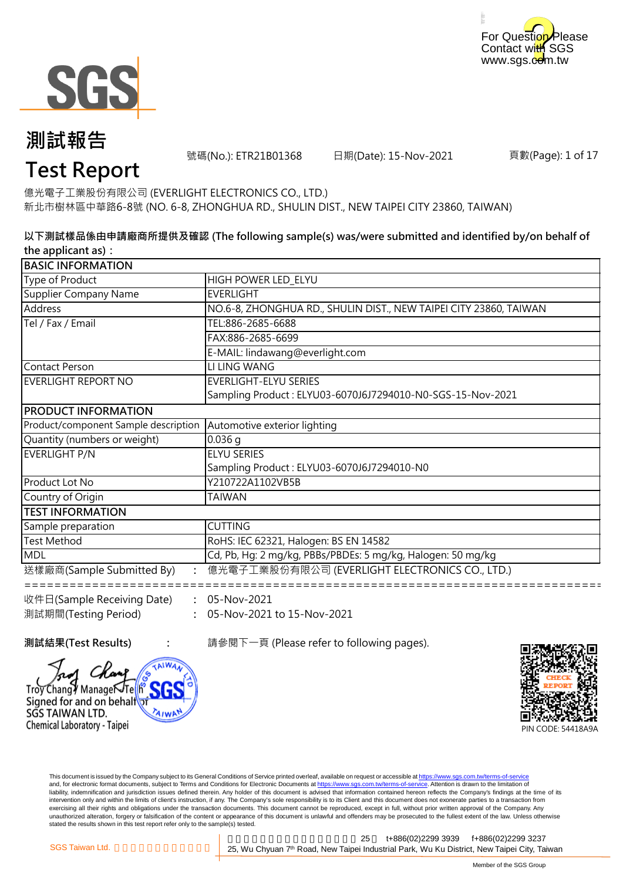



號碼(No.): ETR21B01368 日期(Date): 15-Nov-2021

頁數(Page): 1 of 17

### **Test Report**

新北市樹林區中華路6-8號 (NO. 6-8, ZHONGHUA RD., SHULIN DIST., NEW TAIPEI CITY 23860, TAIWAN) 億光電子工業股份有限公司 (EVERLIGHT ELECTRONICS CO., LTD.)

#### **以下測試樣品係由申請廠商所提供及確認 (The following sample(s) was/were submitted and identified by/on behalf of the applicant as):**

| <b>BASIC INFORMATION</b>                                          |                                                                   |  |
|-------------------------------------------------------------------|-------------------------------------------------------------------|--|
| Type of Product                                                   | HIGH POWER LED ELYU                                               |  |
| Supplier Company Name                                             | <b>EVERLIGHT</b>                                                  |  |
| Address                                                           | NO.6-8, ZHONGHUA RD., SHULIN DIST., NEW TAIPEI CITY 23860, TAIWAN |  |
| Tel / Fax / Email                                                 | TEL:886-2685-6688                                                 |  |
|                                                                   | FAX:886-2685-6699                                                 |  |
|                                                                   | E-MAIL: lindawang@everlight.com                                   |  |
| <b>Contact Person</b>                                             | LI LING WANG                                                      |  |
| EVERLIGHT REPORT NO                                               | <b>EVERLIGHT-ELYU SERIES</b>                                      |  |
|                                                                   | Sampling Product: ELYU03-6070J6J7294010-N0-SGS-15-Nov-2021        |  |
| <b>PRODUCT INFORMATION</b>                                        |                                                                   |  |
| Product/component Sample description Automotive exterior lighting |                                                                   |  |
| Quantity (numbers or weight)                                      | $0.036$ q                                                         |  |
| EVERLIGHT P/N                                                     | <b>ELYU SERIES</b>                                                |  |
|                                                                   | Sampling Product: ELYU03-6070J6J7294010-N0                        |  |
| Product Lot No                                                    | Y210722A1102VB5B                                                  |  |
| Country of Origin                                                 | <b>TAIWAN</b>                                                     |  |
| <b>TEST INFORMATION</b>                                           |                                                                   |  |
| Sample preparation                                                | <b>CUTTING</b>                                                    |  |
| <b>Test Method</b>                                                | RoHS: IEC 62321, Halogen: BS EN 14582                             |  |
| <b>MDL</b>                                                        | Cd, Pb, Hg: 2 mg/kg, PBBs/PBDEs: 5 mg/kg, Halogen: 50 mg/kg       |  |
| 送樣廠商(Sample Submitted By)                                         | 億光電子工業股份有限公司 (EVERLIGHT ELECTRONICS CO., LTD.)                    |  |
| 收件日(Sample Receiving Date)                                        | 05-Nov-2021                                                       |  |
| 測試期間(Testing Period)                                              | 05-Nov-2021 to 15-Nov-2021                                        |  |

**測試結果(Test Results) :** 請參閱下一頁 (Please refer to following pages).



Troy Changy ManageÑTelh Signed for and on behalf SGS TAIWAN LTD. Chemical Laboratory - Taipei

> This document is issued by the Company subject to its General Conditions of Service printed overleaf, available on request or accessible at https://www.sgs.com.tw/terms-of-service and, for electronic format documents, subject to Terms and Conditions for Electronic Documents at https://www.sgs.com.tw/terms-of-service. Attention is drawn to the limitation of liability, indemnification and jurisdiction issues defined therein. Any holder of this document is advised that information contained hereon reflects the Company's findings at the time of its intervention only and within the limits of client's instruction, if any. The Company's sole responsibility is to its Client and this document does not exonerate parties to a transaction from exercising all their rights and obligations under the transaction documents. This document cannot be reproduced, except in full, without prior written approval of the Company. Any<br>unauthorized alteration, forgery or falsif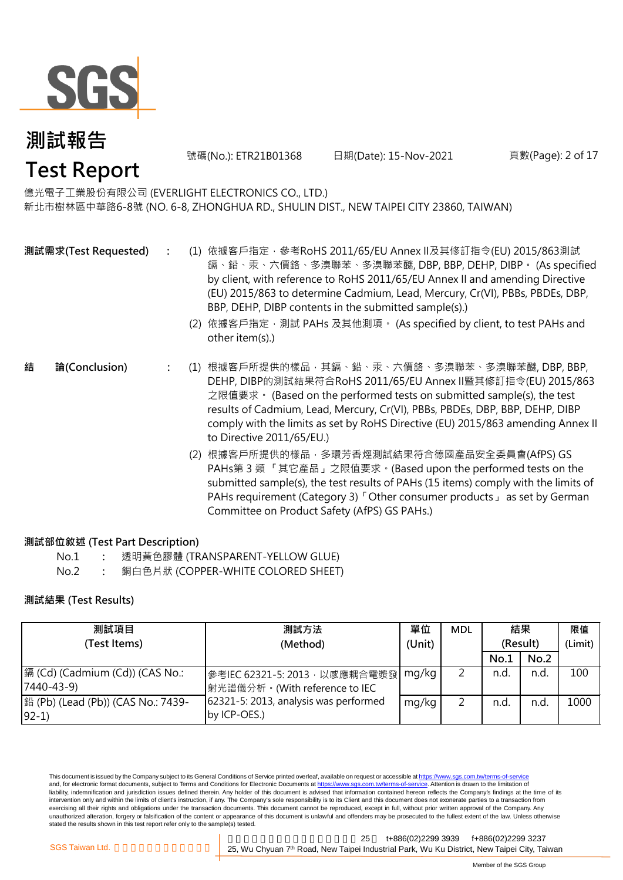

號碼(No.): ETR21B01368 日期(Date): 15-Nov-2021

#### 頁數(Page): 2 of 17

### 億光電子工業股份有限公司 (EVERLIGHT ELECTRONICS CO., LTD.)

新北市樹林區中華路6-8號 (NO. 6-8, ZHONGHUA RD., SHULIN DIST., NEW TAIPEI CITY 23860, TAIWAN)

- **測試需求(Test Requested)**
- **:** (1) 依據客戶指定,參考RoHS 2011/65/EU Annex II及其修訂指令(EU) 2015/863測試 鎘、鉛、汞、六價鉻、多溴聯苯、多溴聯苯醚, DBP, BBP, DEHP, DIBP。 (As specified by client, with reference to RoHS 2011/65/EU Annex II and amending Directive (EU) 2015/863 to determine Cadmium, Lead, Mercury, Cr(VI), PBBs, PBDEs, DBP, BBP, DEHP, DIBP contents in the submitted sample(s).)
	- (2) 依據客戶指定,測試 PAHs 及其他測項。 (As specified by client, to test PAHs and other item(s).)
- **:** (1) 根據客戶所提供的樣品,其鎘、鉛、汞、六價鉻、多溴聯苯、多溴聯苯醚, DBP, BBP, DEHP, DIBP的測試結果符合RoHS 2011/65/EU Annex II暨其修訂指令(EU) 2015/863 之限值要求。 (Based on the performed tests on submitted sample(s), the test results of Cadmium, Lead, Mercury, Cr(VI), PBBs, PBDEs, DBP, BBP, DEHP, DIBP comply with the limits as set by RoHS Directive (EU) 2015/863 amending Annex II to Directive 2011/65/EU.) **結 論(Conclusion)**
	- (2) 根據客戶所提供的樣品,多環芳香烴測試結果符合德國產品安全委員會(AfPS) GS PAHs第 3 類 「其它產品」之限值要求。(Based upon the performed tests on the submitted sample(s), the test results of PAHs (15 items) comply with the limits of PAHs requirement (Category 3) 「Other consumer products」 as set by German Committee on Product Safety (AfPS) GS PAHs.)

#### **測試部位敘述 (Test Part Description)**

- No.1 **:** 透明黃色膠體 (TRANSPARENT-YELLOW GLUE)
- No.2 **:** 銅白色片狀 (COPPER-WHITE COLORED SHEET)

#### **測試結果 (Test Results)**

| 測試項目                               | 測試方法                                  | 單位     | <b>MDL</b> | 結果       |      | 限值      |
|------------------------------------|---------------------------------------|--------|------------|----------|------|---------|
| (Test Items)                       | (Method)                              | (Unit) |            | (Result) |      | (Limit) |
|                                    |                                       |        |            | No.1     | No.2 |         |
| 鎘 (Cd) (Cadmium (Cd)) (CAS No.:    | 參考IEC 62321-5: 2013 · 以感應耦合電漿發        | mg/kg  |            | n.d.     | n.d  | 100     |
| $7440 - 43 - 9$                    | 射光譜儀分析。(With reference to IEC         |        |            |          |      |         |
| 銟 (Pb) (Lead (Pb)) (CAS No.: 7439- | 62321-5: 2013, analysis was performed | mg/kg  |            | n.d.     | n.d  | 1000    |
| $92-1)$                            | by ICP-OES.)                          |        |            |          |      |         |

This document is issued by the Company subject to its General Conditions of Service printed overleaf, available on request or accessible at https://www.sgs.com.tw/terms-of-service and, for electronic format documents, subject to Terms and Conditions for Electronic Documents at https://www.sgs.com.tw/terms-of-service. Attention is drawn to the limitation of liability, indemnification and jurisdiction issues defined therein. Any holder of this document is advised that information contained hereon reflects the Company's findings at the time of its intervention only and within the limits of client's instruction, if any. The Company's sole responsibility is to its Client and this document does not exonerate parties to a transaction from exercising all their rights and obligations under the transaction documents. This document cannot be reproduced, except in full, without prior written approval of the Company. Any unauthorized alteration, forgery or falsification of the content or appearance of this document is unlawful and offenders may be prosecuted to the fullest extent of the law. Unless otherwise stated the results shown in this test report refer only to the sample(s) tested.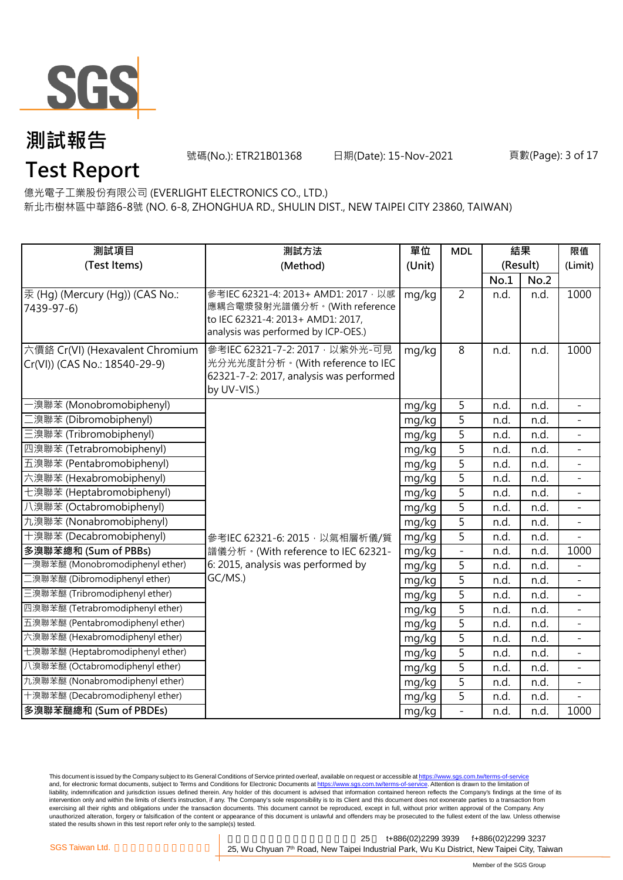

號碼(No.): ETR21B01368 日期(Date): 15-Nov-2021

### **Test Report**

億光電子工業股份有限公司 (EVERLIGHT ELECTRONICS CO., LTD.)

新北市樹林區中華路6-8號 (NO. 6-8, ZHONGHUA RD., SHULIN DIST., NEW TAIPEI CITY 23860, TAIWAN)

| 測試項目                                          | 測試方法                                                                       | 單位     | <b>MDL</b>               | 結果       |      | 限值                       |
|-----------------------------------------------|----------------------------------------------------------------------------|--------|--------------------------|----------|------|--------------------------|
| (Test Items)                                  | (Method)                                                                   | (Unit) |                          | (Result) |      | (Limit)                  |
|                                               |                                                                            |        |                          | No.1     | No.2 |                          |
| 汞 (Hg) (Mercury (Hg)) (CAS No.:<br>7439-97-6) | 參考IEC 62321-4: 2013+ AMD1: 2017 · 以感<br>應耦合電漿發射光譜儀分析。(With reference       | mg/kg  | $\overline{2}$           | n.d.     | n.d. | 1000                     |
|                                               | to IEC 62321-4: 2013+ AMD1: 2017,<br>analysis was performed by ICP-OES.)   |        |                          |          |      |                          |
| 六價鉻 Cr(VI) (Hexavalent Chromium               | 參考IEC 62321-7-2: 2017 · 以紫外光-可見                                            | mg/kg  | $\overline{8}$           | n.d.     | n.d. | 1000                     |
| Cr(VI)) (CAS No.: 18540-29-9)                 | 光分光光度計分析。(With reference to IEC<br>62321-7-2: 2017, analysis was performed |        |                          |          |      |                          |
|                                               | by UV-VIS.)                                                                |        |                          |          |      |                          |
| -溴聯苯 (Monobromobiphenyl)                      |                                                                            | mg/kg  | 5                        | n.d.     | n.d. | $\equiv$                 |
| 二溴聯苯 (Dibromobiphenyl)                        |                                                                            | mg/kg  | 5                        | n.d.     | n.d. |                          |
| 三溴聯苯 (Tribromobiphenyl)                       |                                                                            | mg/kg  | 5                        | n.d.     | n.d. |                          |
| 四溴聯苯 (Tetrabromobiphenyl)                     |                                                                            | mg/kg  | $\overline{5}$           | n.d.     | n.d. | $\overline{\phantom{a}}$ |
| 五溴聯苯 (Pentabromobiphenyl)                     |                                                                            | mg/kg  | 5                        | n.d.     | n.d. | $\overline{\phantom{0}}$ |
| 六溴聯苯 (Hexabromobiphenyl)                      |                                                                            | mg/kg  | 5                        | n.d.     | n.d. |                          |
| 七溴聯苯 (Heptabromobiphenyl)                     |                                                                            | mg/kg  | 5                        | n.d.     | n.d. |                          |
| 八溴聯苯 (Octabromobiphenyl)                      |                                                                            | mg/kg  | $\overline{5}$           | n.d.     | n.d. | $\equiv$                 |
| 九溴聯苯 (Nonabromobiphenyl)                      |                                                                            | mg/kg  | $\overline{5}$           | n.d.     | n.d. |                          |
| 十溴聯苯 (Decabromobiphenyl)                      | 參考IEC 62321-6: 2015, 以氣相層析儀/質                                              | mg/kg  | 5                        | n.d.     | n.d. |                          |
| 多溴聯苯總和 (Sum of PBBs)                          | 譜儀分析。(With reference to IEC 62321-                                         | mg/kg  | $\overline{\phantom{a}}$ | n.d.     | n.d. | 1000                     |
| -溴聯苯醚 (Monobromodiphenyl ether)               | 6: 2015, analysis was performed by                                         | mg/kg  | $\overline{5}$           | n.d.     | n.d. |                          |
| 二溴聯苯醚 (Dibromodiphenyl ether)                 | GC/MS.)                                                                    | mg/kg  | 5                        | n.d.     | n.d. |                          |
| 三溴聯苯醚 (Tribromodiphenyl ether)                |                                                                            | mg/kg  | $\overline{5}$           | n.d.     | n.d. |                          |
| 四溴聯苯醚 (Tetrabromodiphenyl ether)              |                                                                            | mg/kg  | $\overline{5}$           | n.d.     | n.d. | $\equiv$                 |
| 五溴聯苯醚 (Pentabromodiphenyl ether)              |                                                                            | mg/kg  | $\overline{5}$           | n.d.     | n.d. |                          |
| 六溴聯苯醚 (Hexabromodiphenyl ether)               |                                                                            | mg/kg  | 5                        | n.d.     | n.d. |                          |
| 七溴聯苯醚 (Heptabromodiphenyl ether)              |                                                                            | mg/kg  | 5                        | n.d.     | n.d. | $\equiv$                 |
| 八溴聯苯醚 (Octabromodiphenyl ether)               |                                                                            | mg/kg  | $\overline{5}$           | n.d.     | n.d. |                          |
| 九溴聯苯醚 (Nonabromodiphenyl ether)               |                                                                            | mg/kg  | 5                        | n.d.     | n.d. |                          |
| 十溴聯苯醚 (Decabromodiphenyl ether)               |                                                                            | mg/kg  | $\overline{5}$           | n.d.     | n.d. |                          |
| 多溴聯苯醚總和 (Sum of PBDEs)                        |                                                                            | mg/kg  | $\frac{1}{2}$            | n.d.     | n.d. | 1000                     |

This document is issued by the Company subject to its General Conditions of Service printed overleaf, available on request or accessible at <u>https://www.sgs.com.tw/terms-of-service</u><br>and, for electronic format documents, su liability, indemnification and jurisdiction issues defined therein. Any holder of this document is advised that information contained hereon reflects the Company's findings at the time of its intervention only and within the limits of client's instruction, if any. The Company's sole responsibility is to its Client and this document does not exonerate parties to a transaction from exercising all their rights and obligations under the transaction documents. This document cannot be reproduced, except in full, without prior written approval of the Company. Any<br>unauthorized alteration, forgery or falsif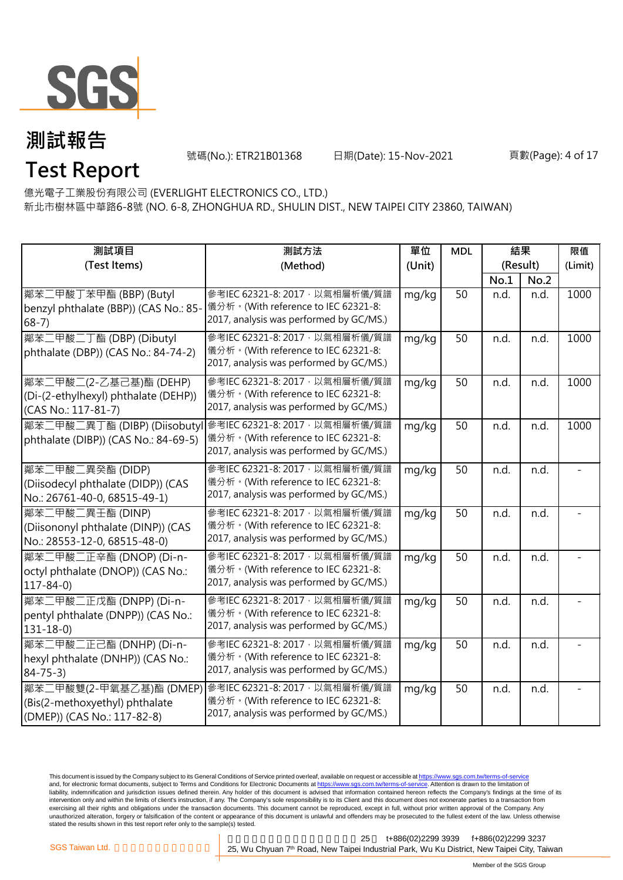

號碼(No.): ETR21B01368 日期(Date): 15-Nov-2021

### **Test Report**

新北市樹林區中華路6-8號 (NO. 6-8, ZHONGHUA RD., SHULIN DIST., NEW TAIPEI CITY 23860, TAIWAN) 億光電子工業股份有限公司 (EVERLIGHT ELECTRONICS CO., LTD.)

| 測試項目                                                                                     | 測試方法                                                                                                             | 單位     | <b>MDL</b> | 結果       |      | 限值      |
|------------------------------------------------------------------------------------------|------------------------------------------------------------------------------------------------------------------|--------|------------|----------|------|---------|
| (Test Items)                                                                             | (Method)                                                                                                         | (Unit) |            | (Result) |      | (Limit) |
|                                                                                          |                                                                                                                  |        |            | No.1     | No.2 |         |
| 鄰苯二甲酸丁苯甲酯 (BBP) (Butyl<br>benzyl phthalate (BBP)) (CAS No.: 85-<br>$68-7)$               | 參考IEC 62321-8: 2017, 以氣相層析儀/質譜<br>儀分析。(With reference to IEC 62321-8:<br>2017, analysis was performed by GC/MS.) | mg/kg  | 50         | n.d.     | n.d. | 1000    |
| 鄰苯二甲酸二丁酯 (DBP) (Dibutyl<br>phthalate (DBP)) (CAS No.: 84-74-2)                           | 參考IEC 62321-8: 2017, 以氣相層析儀/質譜<br>儀分析。(With reference to IEC 62321-8:<br>2017, analysis was performed by GC/MS.) | mg/kg  | 50         | n.d.     | n.d. | 1000    |
| 鄰苯二甲酸二(2-乙基己基)酯 (DEHP)<br>(Di-(2-ethylhexyl) phthalate (DEHP))<br>(CAS No.: 117-81-7)    | 參考IEC 62321-8: 2017, 以氣相層析儀/質譜<br>儀分析。(With reference to IEC 62321-8:<br>2017, analysis was performed by GC/MS.) | mg/kg  | 50         | n.d.     | n.d. | 1000    |
| 鄰苯二甲酸二異丁酯 (DIBP) (Diisobuty<br>phthalate (DIBP)) (CAS No.: 84-69-5)                      | 參考IEC 62321-8: 2017, 以氣相層析儀/質譜<br>儀分析。(With reference to IEC 62321-8:<br>2017, analysis was performed by GC/MS.) | mg/kg  | 50         | n.d.     | n.d. | 1000    |
| 鄰苯二甲酸二異癸酯 (DIDP)<br>(Diisodecyl phthalate (DIDP)) (CAS<br>No.: 26761-40-0, 68515-49-1)   | 參考IEC 62321-8: 2017, 以氣相層析儀/質譜<br>儀分析。(With reference to IEC 62321-8:<br>2017, analysis was performed by GC/MS.) | mg/kg  | 50         | n.d.     | n.d. |         |
| 鄰苯二甲酸二異壬酯 (DINP)<br>(Diisononyl phthalate (DINP)) (CAS<br>No.: 28553-12-0, 68515-48-0)   | 參考IEC 62321-8: 2017, 以氣相層析儀/質譜<br>儀分析。(With reference to IEC 62321-8:<br>2017, analysis was performed by GC/MS.) | mg/kg  | 50         | n.d.     | n.d. |         |
| 鄰苯二甲酸二正辛酯 (DNOP) (Di-n-<br>octyl phthalate (DNOP)) (CAS No.:<br>$117 - 84 - 0$           | 參考IEC 62321-8: 2017, 以氣相層析儀/質譜<br>儀分析。(With reference to IEC 62321-8:<br>2017, analysis was performed by GC/MS.) | mg/kg  | 50         | n.d.     | n.d. |         |
| 鄰苯二甲酸二正戊酯 (DNPP) (Di-n-<br>pentyl phthalate (DNPP)) (CAS No.:<br>$131 - 18 - 0$          | 參考IEC 62321-8: 2017, 以氣相層析儀/質譜<br>儀分析。(With reference to IEC 62321-8:<br>2017, analysis was performed by GC/MS.) | mg/kg  | 50         | n.d.     | n.d. |         |
| 鄰苯二甲酸二正己酯 (DNHP) (Di-n-<br>hexyl phthalate (DNHP)) (CAS No.:<br>$84 - 75 - 3$            | 參考IEC 62321-8: 2017, 以氣相層析儀/質譜<br>儀分析。(With reference to IEC 62321-8:<br>2017, analysis was performed by GC/MS.) | mg/kg  | 50         | n.d.     | n.d. |         |
| 鄰苯二甲酸雙(2-甲氧基乙基)酯 (DMEP)<br>(Bis(2-methoxyethyl) phthalate<br>(DMEP)) (CAS No.: 117-82-8) | 參考IEC 62321-8: 2017, 以氣相層析儀/質譜<br>儀分析。(With reference to IEC 62321-8:<br>2017, analysis was performed by GC/MS.) | mg/kg  | 50         | n.d.     | n.d. |         |

This document is issued by the Company subject to its General Conditions of Service printed overleaf, available on request or accessible at <u>https://www.sgs.com.tw/terms-of-service</u><br>and, for electronic format documents, su liability, indemnification and jurisdiction issues defined therein. Any holder of this document is advised that information contained hereon reflects the Company's findings at the time of its intervention only and within the limits of client's instruction, if any. The Company's sole responsibility is to its Client and this document does not exonerate parties to a transaction from exercising all their rights and obligations under the transaction documents. This document cannot be reproduced, except in full, without prior written approval of the Company. Any<br>unauthorized alteration, forgery or falsif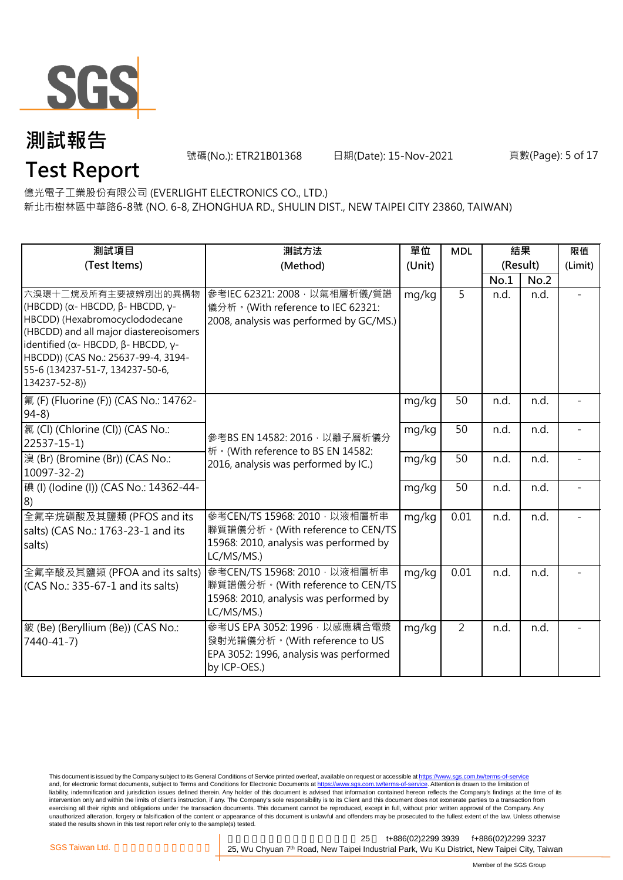

號碼(No.): ETR21B01368 日期(Date): 15-Nov-2021

#### 頁數(Page): 5 of 17

**Test Report** 億光電子工業股份有限公司 (EVERLIGHT ELECTRONICS CO., LTD.)

新北市樹林區中華路6-8號 (NO. 6-8, ZHONGHUA RD., SHULIN DIST., NEW TAIPEI CITY 23860, TAIWAN)

| 測試項目                                                                                                                                                                                                                                                                                                           | 測試方法                                                                                                                     | 單位     | <b>MDL</b> | 結果       |      | 限值      |
|----------------------------------------------------------------------------------------------------------------------------------------------------------------------------------------------------------------------------------------------------------------------------------------------------------------|--------------------------------------------------------------------------------------------------------------------------|--------|------------|----------|------|---------|
| (Test Items)                                                                                                                                                                                                                                                                                                   | (Method)                                                                                                                 | (Unit) |            | (Result) |      | (Limit) |
|                                                                                                                                                                                                                                                                                                                |                                                                                                                          |        |            | No.1     | No.2 |         |
| 六溴環十二烷及所有主要被辨別出的異構物<br>(HBCDD) ( $\alpha$ - HBCDD, $\beta$ - HBCDD, γ-<br>HBCDD) (Hexabromocyclododecane<br>(HBCDD) and all major diastereoisomers<br>identified ( $\alpha$ - HBCDD, $\beta$ - HBCDD, $\gamma$ -<br>HBCDD)) (CAS No.: 25637-99-4, 3194-<br>55-6 (134237-51-7, 134237-50-6,<br>$134237 - 52-8)$ | 參考IEC 62321: 2008, 以氣相層析儀/質譜<br>儀分析。(With reference to IEC 62321:<br>2008, analysis was performed by GC/MS.)             | mg/kg  | 5          | n.d.     | n.d. |         |
| 氟 (F) (Fluorine (F)) (CAS No.: 14762-<br>$94-8$                                                                                                                                                                                                                                                                |                                                                                                                          | mg/kg  | 50         | n.d.     | n.d. |         |
| 氯 (Cl) (Chlorine (Cl)) (CAS No.:<br>$22537 - 15 - 1$                                                                                                                                                                                                                                                           | 參考BS EN 14582: 2016 · 以離子層析儀分<br>析 · (With reference to BS EN 14582:                                                     | mg/kg  | 50         | n.d.     | n.d. |         |
| 溴 (Br) (Bromine (Br)) (CAS No.:<br>$10097 - 32 - 2$                                                                                                                                                                                                                                                            | 2016, analysis was performed by IC.)                                                                                     | mg/kg  | 50         | n.d.     | n.d. |         |
| 碘 (I) (lodine (I)) (CAS No.: 14362-44-<br>8)                                                                                                                                                                                                                                                                   |                                                                                                                          | mg/kg  | 50         | n.d.     | n.d. |         |
| 全氟辛烷磺酸及其鹽類 (PFOS and its<br>salts) (CAS No.: 1763-23-1 and its<br>salts)                                                                                                                                                                                                                                       | 參考CEN/TS 15968: 2010, 以液相層析串<br>聯質譜儀分析。(With reference to CEN/TS<br>15968: 2010, analysis was performed by<br>LC/MS/MS.) | mg/kg  | 0.01       | n.d.     | n.d. |         |
| 全氟辛酸及其鹽類 (PFOA and its salts)<br>(CAS No.: 335-67-1 and its salts)                                                                                                                                                                                                                                             | 參考CEN/TS 15968: 2010, 以液相層析串<br>聯質譜儀分析。(With reference to CEN/TS<br>15968: 2010, analysis was performed by<br>LC/MS/MS.) | mg/kg  | 0.01       | n.d.     | n.d. |         |
| 鈹 (Be) (Beryllium (Be)) (CAS No.:<br>7440-41-7)                                                                                                                                                                                                                                                                | 參考US EPA 3052: 1996 · 以感應耦合電漿<br>發射光譜儀分析。(With reference to US<br>EPA 3052: 1996, analysis was performed<br>by ICP-OES.) | mg/kg  | 2          | n.d.     | n.d. |         |

This document is issued by the Company subject to its General Conditions of Service printed overleaf, available on request or accessible at <u>https://www.sgs.com.tw/terms-of-service</u><br>and, for electronic format documents, su liability, indemnification and jurisdiction issues defined therein. Any holder of this document is advised that information contained hereon reflects the Company's findings at the time of its intervention only and within the limits of client's instruction, if any. The Company's sole responsibility is to its Client and this document does not exonerate parties to a transaction from exercising all their rights and obligations under the transaction documents. This document cannot be reproduced, except in full, without prior written approval of the Company. Any<br>unauthorized alteration, forgery or falsif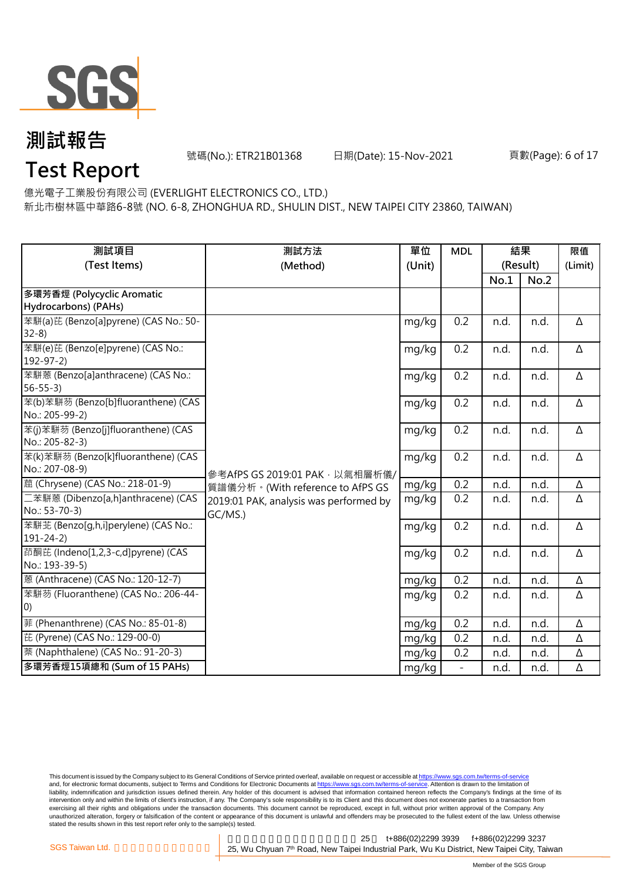

號碼(No.): ETR21B01368 日期(Date): 15-Nov-2021

#### 頁數(Page): 6 of 17

**Test Report**

億光電子工業股份有限公司 (EVERLIGHT ELECTRONICS CO., LTD.)

新北市樹林區中華路6-8號 (NO. 6-8, ZHONGHUA RD., SHULIN DIST., NEW TAIPEI CITY 23860, TAIWAN)

| 測試項目                                                      | 測試方法                                   | 單位     | <b>MDL</b>               | 結果       |      | 限值       |
|-----------------------------------------------------------|----------------------------------------|--------|--------------------------|----------|------|----------|
| (Test Items)                                              | (Method)                               | (Unit) |                          | (Result) |      | (Limit)  |
|                                                           |                                        |        |                          | No.1     | No.2 |          |
| 多環芳香烴 (Polycyclic Aromatic                                |                                        |        |                          |          |      |          |
| Hydrocarbons) (PAHs)                                      |                                        |        |                          |          |      |          |
| 苯駢(a)芘 (Benzo[a]pyrene) (CAS No.: 50-                     |                                        | mg/kg  | 0.2                      | n.d.     | n.d. | Δ        |
| $32-8$                                                    |                                        |        |                          |          |      |          |
| 苯駢(e)芘 (Benzo[e]pyrene) (CAS No.:                         |                                        | mg/kg  | 0.2                      | n.d.     | n.d. | Δ        |
| $192 - 97 - 2$                                            |                                        |        |                          |          |      |          |
| 苯駢蒽 (Benzo[a]anthracene) (CAS No.:<br>$56 - 55 - 3$       |                                        | mg/kg  | 0.2                      | n.d.     | n.d. | $\Delta$ |
| 苯(b)苯駢芴 (Benzo[b]fluoranthene) (CAS                       |                                        | mg/kg  | 0.2                      | n.d.     | n.d. | $\Delta$ |
| No.: 205-99-2)                                            |                                        |        |                          |          |      |          |
| 苯(j)苯駢芴 (Benzo[j]fluoranthene) (CAS                       |                                        | mg/kg  | 0.2                      | n.d.     | n.d. | Δ        |
| No.: 205-82-3)                                            |                                        |        |                          |          |      |          |
| 苯(k)苯駢芴 (Benzo[k]fluoranthene) (CAS                       |                                        | mg/kg  | 0.2                      | n.d.     | n.d. | Δ        |
| No.: 207-08-9)                                            | 參考AfPS GS 2019:01 PAK, 以氣相層析儀/         |        |                          |          |      |          |
| 蔰 (Chrysene) (CAS No.: 218-01-9)                          | 質譜儀分析。(With reference to AfPS GS       | mg/kg  | 0.2                      | n.d.     | n.d. | $\Delta$ |
| 二苯駢蒽 (Dibenzo[a,h]anthracene) (CAS                        | 2019:01 PAK, analysis was performed by | mg/kg  | 0.2                      | n.d.     | n.d. | Δ        |
| No.: 53-70-3)                                             | GC/MS.)                                |        |                          |          |      |          |
| 苯駢苝 (Benzo[q,h,i]perylene) (CAS No.:                      |                                        | mg/kg  | 0.2                      | n.d.     | n.d. | $\Delta$ |
| $191 - 24 - 2)$                                           |                                        |        |                          |          |      |          |
| 茚酮芘 (Indeno[1,2,3-c,d]pyrene) (CAS<br>No.: 193-39-5)      |                                        | mg/kg  | 0.2                      | n.d.     | n.d. | Δ        |
| 蒽 (Anthracene) (CAS No.: 120-12-7)                        |                                        |        | 0.2                      |          |      |          |
|                                                           |                                        | mg/kg  |                          | n.d.     | n.d. | Δ        |
| 苯駢芴 (Fluoranthene) (CAS No.: 206-44-<br>$\vert 0 \rangle$ |                                        | mg/kg  | 0.2                      | n.d.     | n.d. | Δ        |
| 菲 (Phenanthrene) (CAS No.: 85-01-8)                       |                                        |        | 0.2                      | n.d.     | n.d. | $\Delta$ |
| 芘 (Pyrene) (CAS No.: 129-00-0)                            |                                        | mg/kg  |                          |          |      |          |
|                                                           |                                        | mg/kg  | 0.2                      | n.d.     | n.d. | Δ        |
| 萘 (Naphthalene) (CAS No.: 91-20-3)                        |                                        | mg/kg  | 0.2                      | n.d.     | n.d. | Δ        |
| 多環芳香烴15項總和 (Sum of 15 PAHs)                               |                                        | mg/kg  | $\overline{\phantom{a}}$ | n.d.     | n.d. | Δ        |

This document is issued by the Company subject to its General Conditions of Service printed overleaf, available on request or accessible at <u>https://www.sgs.com.tw/terms-of-service</u><br>and, for electronic format documents, su liability, indemnification and jurisdiction issues defined therein. Any holder of this document is advised that information contained hereon reflects the Company's findings at the time of its intervention only and within the limits of client's instruction, if any. The Company's sole responsibility is to its Client and this document does not exonerate parties to a transaction from exercising all their rights and obligations under the transaction documents. This document cannot be reproduced, except in full, without prior written approval of the Company. Any<br>unauthorized alteration, forgery or falsif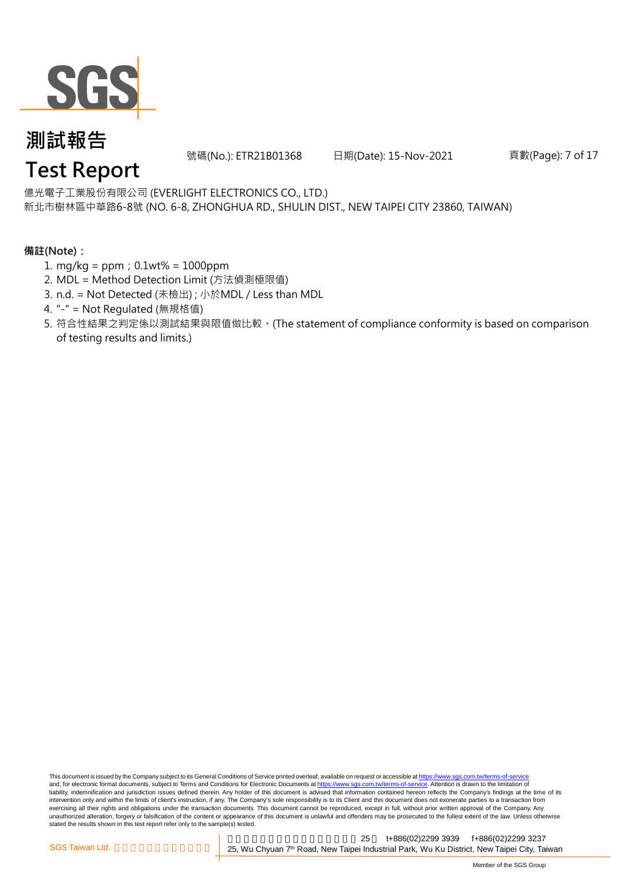

號碼(No.): ETR21B01368 日期(Date): 15-Nov-2021

頁數(Page): 7 of 17

### **Test Report**

新北市樹林區中華路6-8號 (NO. 6-8, ZHONGHUA RD., SHULIN DIST., NEW TAIPEI CITY 23860, TAIWAN) 億光電子工業股份有限公司 (EVERLIGHT ELECTRONICS CO., LTD.)

#### **備註(Note):**

- 1. mg/kg = ppm;0.1wt% = 1000ppm
- 2. MDL = Method Detection Limit (方法偵測極限值)
- 3. n.d. = Not Detected (未檢出) ; 小於MDL / Less than MDL
- 4. "-" = Not Regulated (無規格值)
- 5. 符合性結果之判定係以測試結果與限值做比較。(The statement of compliance conformity is based on comparison of testing results and limits.)

This document is issued by the Company subject to its General Conditions of Service printed overleaf, available on request or accessible at https://www.sgs.com.tw/terms-of-service and, for electronic format documents, subject to Terms and Conditions for Electronic Documents at https://www.sgs.com.tw/terms-of-service. Attention is drawn to the limitation of liability, indemnification and jurisdiction issues defined therein. Any holder of this document is advised that information contained hereon reflects the Company's findings at the time of its intervention only and within the limits of client's instruction, if any. The Company's sole responsibility is to its Client and this document does not exonerate parties to a transaction from exercising all their rights and obligations under the transaction documents. This document cannot be reproduced, except in full, without prior written approval of the Company. Any<br>unauthorized alteration, forgery or falsif stated the results shown in this test report refer only to the sample(s) tested.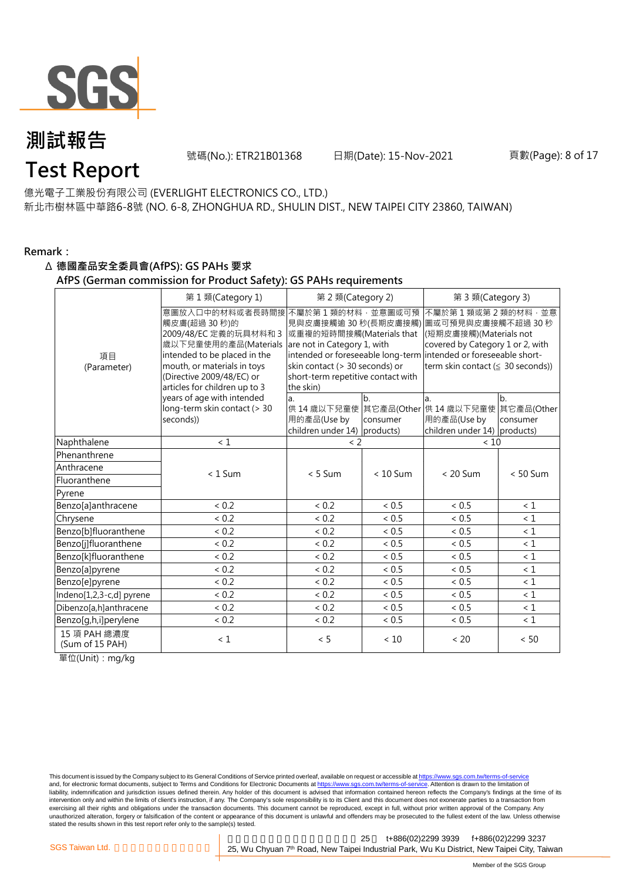

號碼(No.): ETR21B01368 日期(Date): 15-Nov-2021

頁數(Page): 8 of 17

### **Test Report**

新北市樹林區中華路6-8號 (NO. 6-8, ZHONGHUA RD., SHULIN DIST., NEW TAIPEI CITY 23860, TAIWAN) 億光電子工業股份有限公司 (EVERLIGHT ELECTRONICS CO., LTD.)

#### **Remark:**

#### Δ **德國產品安全委員會(AfPS): GS PAHs 要求**

**AfPS (German commission for Product Safety): GS PAHs requirements**

|                                 | 第1類(Category 1)                                                                                                                                                                            | 第 2 類(Category 2)                                                                                                                                                                                                                                                            |                | 第 3 類(Category 3)                                                                                                                         |                |  |
|---------------------------------|--------------------------------------------------------------------------------------------------------------------------------------------------------------------------------------------|------------------------------------------------------------------------------------------------------------------------------------------------------------------------------------------------------------------------------------------------------------------------------|----------------|-------------------------------------------------------------------------------------------------------------------------------------------|----------------|--|
| 項目<br>(Parameter)               | 觸皮膚(超過 30秒)的<br>2009/48/EC 定義的玩具材料和 3<br>歲以下兒童使用的產品(Materials<br>intended to be placed in the<br>mouth, or materials in toys<br>(Directive 2009/48/EC) or<br>articles for children up to 3 | 意圖放入口中的材料或者長時間接 不屬於第1類的材料,並意圖或可預<br>見與皮膚接觸逾 30 秒(長期皮膚接觸)<br>或重複的短時間接觸(Materials that<br>are not in Category 1, with<br>intended or foreseeable long-term intended or foreseeable short-<br>skin contact (> 30 seconds) or<br>short-term repetitive contact with<br>the skin) |                | 不屬於第1類或第2類的材料,並意<br>圖或可預見與皮膚接觸不超過 30 秒<br>(短期皮膚接觸)(Materials not<br>covered by Category 1 or 2, with<br>term skin contact (≤ 30 seconds)) |                |  |
|                                 | years of age with intended<br>long-term skin contact (> 30<br>seconds))                                                                                                                    | a.<br>用的產品(Use by<br>children under 14) products)                                                                                                                                                                                                                            | b.<br>consumer | a.<br>供 14 歳以下兒童使 其它產品(Other 供 14 歳以下兒童使 其它產品(Other<br>用的產品(Use by<br>children under 14) products)                                        | b.<br>consumer |  |
| Naphthalene                     | $\leq 1$                                                                                                                                                                                   | < 2                                                                                                                                                                                                                                                                          |                | $<10$                                                                                                                                     |                |  |
| Phenanthrene                    |                                                                                                                                                                                            |                                                                                                                                                                                                                                                                              |                |                                                                                                                                           |                |  |
| Anthracene                      | $< 1$ Sum                                                                                                                                                                                  | $< 5$ Sum                                                                                                                                                                                                                                                                    | $< 10$ Sum     | $< 20$ Sum                                                                                                                                | $< 50$ Sum     |  |
| Fluoranthene                    |                                                                                                                                                                                            |                                                                                                                                                                                                                                                                              |                |                                                                                                                                           |                |  |
| Pyrene                          |                                                                                                                                                                                            |                                                                                                                                                                                                                                                                              |                |                                                                                                                                           |                |  |
| Benzo[a]anthracene              | < 0.2                                                                                                                                                                                      | < 0.2                                                                                                                                                                                                                                                                        | < 0.5          | ~< 0.5                                                                                                                                    | $\leq 1$       |  |
| Chrysene                        | < 0.2                                                                                                                                                                                      | < 0.2                                                                                                                                                                                                                                                                        | < 0.5          | ~< 0.5                                                                                                                                    | $\leq 1$       |  |
| Benzo[b]fluoranthene            | < 0.2                                                                                                                                                                                      | < 0.2                                                                                                                                                                                                                                                                        | < 0.5          | ${}< 0.5$                                                                                                                                 | $\leq 1$       |  |
| Benzo[j]fluoranthene            | < 0.2                                                                                                                                                                                      | < 0.2                                                                                                                                                                                                                                                                        | < 0.5          | ~< 0.5                                                                                                                                    | $\leq 1$       |  |
| Benzo[k]fluoranthene            | < 0.2                                                                                                                                                                                      | < 0.2                                                                                                                                                                                                                                                                        | < 0.5          | ${}< 0.5$                                                                                                                                 | $\leq 1$       |  |
| Benzo[a]pyrene                  | < 0.2                                                                                                                                                                                      | < 0.2                                                                                                                                                                                                                                                                        | < 0.5          | ~< 0.5                                                                                                                                    | $\leq 1$       |  |
| Benzo[e]pyrene                  | < 0.2                                                                                                                                                                                      | < 0.2                                                                                                                                                                                                                                                                        | ${}< 0.5$      | ~< 0.5                                                                                                                                    | $\leq 1$       |  |
| Indeno[1,2,3-c,d] pyrene        | < 0.2                                                                                                                                                                                      | < 0.2                                                                                                                                                                                                                                                                        | < 0.5          | ~< 0.5                                                                                                                                    | $\leq 1$       |  |
| Dibenzo[a,h]anthracene          | < 0.2                                                                                                                                                                                      | < 0.2                                                                                                                                                                                                                                                                        | < 0.5          | ~< 0.5                                                                                                                                    | < 1            |  |
| Benzo[g,h,i]perylene            | < 0.2                                                                                                                                                                                      | < 0.2                                                                                                                                                                                                                                                                        | ${}< 0.5$      | ~< 0.5                                                                                                                                    | $\leq 1$       |  |
| 15 項 PAH 總濃度<br>(Sum of 15 PAH) | $\leq 1$                                                                                                                                                                                   | < 5                                                                                                                                                                                                                                                                          | < 10           | < 20                                                                                                                                      | < 50           |  |

單位(Unit):mg/kg

This document is issued by the Company subject to its General Conditions of Service printed overleaf, available on request or accessible at <u>https://www.sgs.com.tw/terms-of-service</u><br>and, for electronic format documents, su liability, indemnification and jurisdiction issues defined therein. Any holder of this document is advised that information contained hereon reflects the Company's findings at the time of its intervention only and within the limits of client's instruction, if any. The Company's sole responsibility is to its Client and this document does not exonerate parties to a transaction from exercising all their rights and obligations under the transaction documents. This document cannot be reproduced, except in full, without prior written approval of the Company. Any<br>unauthorized alteration, forgery or falsif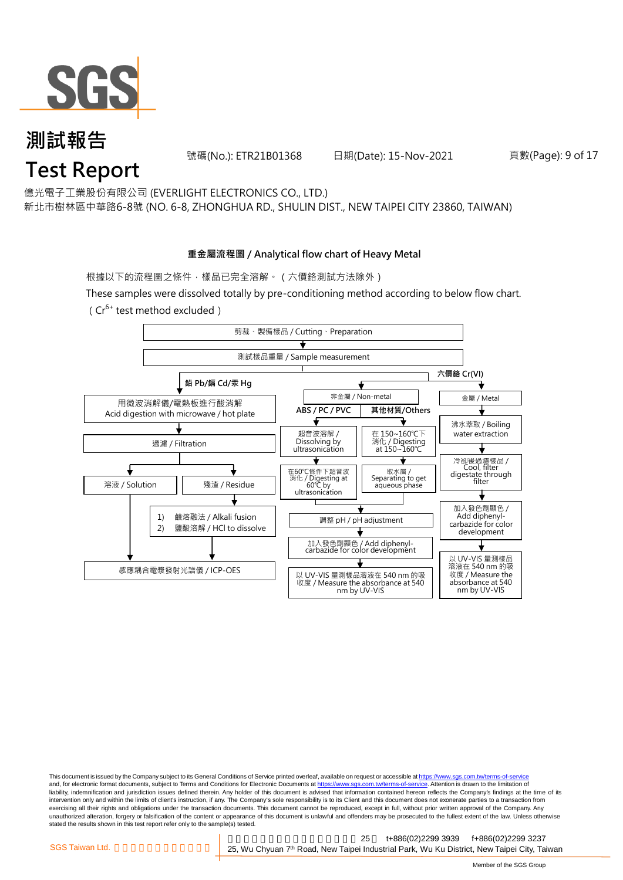

號碼(No.): ETR21B01368 日期(Date): 15-Nov-2021

頁數(Page): 9 of 17

億光電子工業股份有限公司 (EVERLIGHT ELECTRONICS CO., LTD.)

新北市樹林區中華路6-8號 (NO. 6-8, ZHONGHUA RD., SHULIN DIST., NEW TAIPEI CITY 23860, TAIWAN)

#### **重金屬流程圖 / Analytical flow chart of Heavy Metal**

根據以下的流程圖之條件,樣品已完全溶解。(六價鉻測試方法除外)

These samples were dissolved totally by pre-conditioning method according to below flow chart.

( $Cr^{6+}$  test method excluded)



This document is issued by the Company subject to its General Conditions of Service printed overleaf, available on request or accessible at https://www.sgs.com.tw/terms-of-service and, for electronic format documents, subject to Terms and Conditions for Electronic Documents at https://www.sgs.com.tw/terms-of-service. Attention is drawn to the limitation of liability, indemnification and jurisdiction issues defined therein. Any holder of this document is advised that information contained hereon reflects the Company's findings at the time of its intervention only and within the limits of client's instruction, if any. The Company's sole responsibility is to its Client and this document does not exonerate parties to a transaction from exercising all their rights and obligations under the transaction documents. This document cannot be reproduced, except in full, without prior written approval of the Company. Any<br>unauthorized alteration, forgery or falsif stated the results shown in this test report refer only to the sample(s) tested.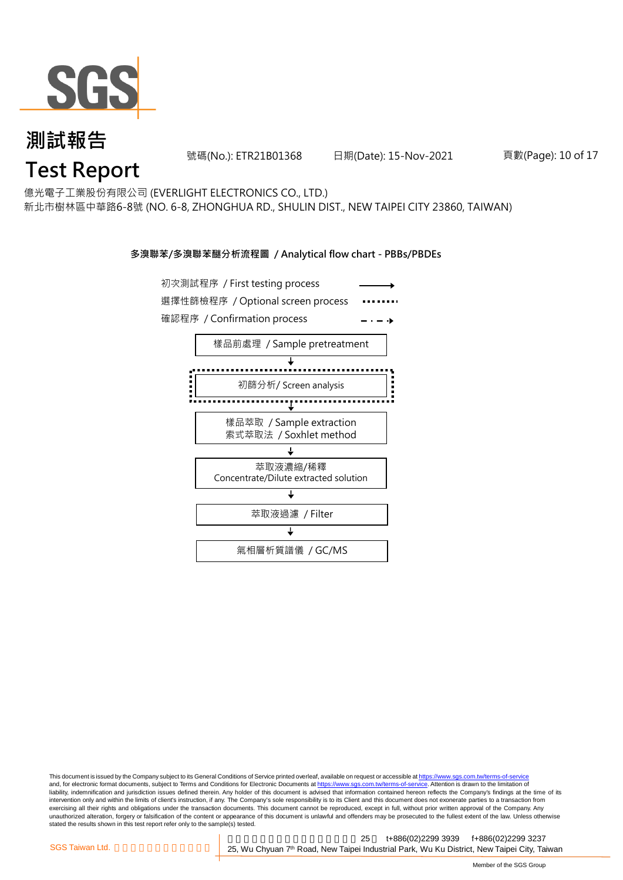

號碼(No.): ETR21B01368 日期(Date): 15-Nov-2021

頁數(Page): 10 of 17

億光電子工業股份有限公司 (EVERLIGHT ELECTRONICS CO., LTD.)

新北市樹林區中華路6-8號 (NO. 6-8, ZHONGHUA RD., SHULIN DIST., NEW TAIPEI CITY 23860, TAIWAN)

#### **多溴聯苯/多溴聯苯醚分析流程圖 / Analytical flow chart - PBBs/PBDEs**



This document is issued by the Company subject to its General Conditions of Service printed overleaf, available on request or accessible at https://www.sgs.com.tw/terms-of-service and, for electronic format documents, subject to Terms and Conditions for Electronic Documents at https://www.sgs.com.tw/terms-of-service. Attention is drawn to the limitation of liability, indemnification and jurisdiction issues defined therein. Any holder of this document is advised that information contained hereon reflects the Company's findings at the time of its intervention only and within the limits of client's instruction, if any. The Company's sole responsibility is to its Client and this document does not exonerate parties to a transaction from exercising all their rights and obligations under the transaction documents. This document cannot be reproduced, except in full, without prior written approval of the Company. Any<br>unauthorized alteration, forgery or falsif stated the results shown in this test report refer only to the sample(s) tested.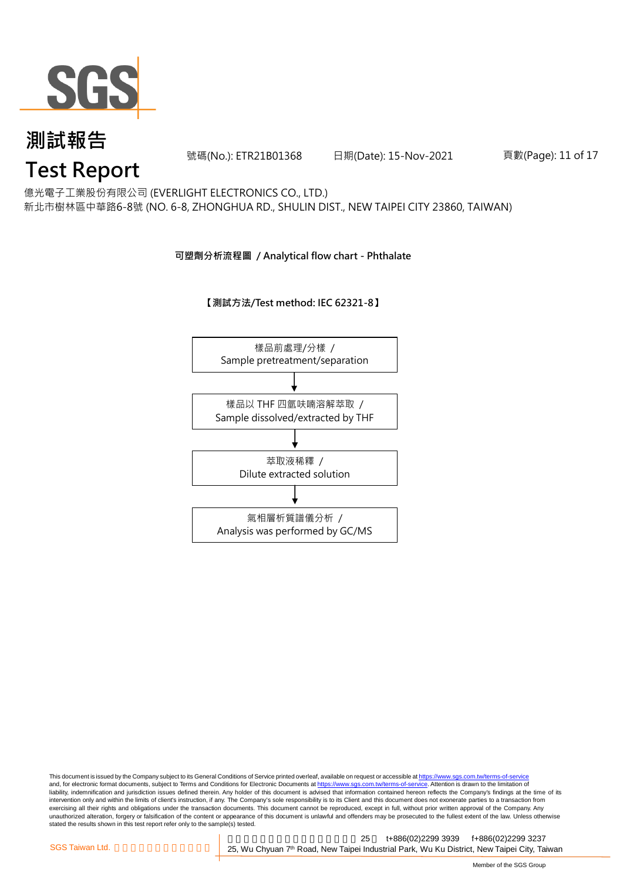

號碼(No.): ETR21B01368 日期(Date): 15-Nov-2021

頁數(Page): 11 of 17

## **Test Report**

新北市樹林區中華路6-8號 (NO. 6-8, ZHONGHUA RD., SHULIN DIST., NEW TAIPEI CITY 23860, TAIWAN) 億光電子工業股份有限公司 (EVERLIGHT ELECTRONICS CO., LTD.)

#### **可塑劑分析流程圖 / Analytical flow chart - Phthalate**

#### **【測試方法/Test method: IEC 62321-8】**



This document is issued by the Company subject to its General Conditions of Service printed overleaf, available on request or accessible at https://www.sgs.com.tw/terms-of-service and, for electronic format documents, subject to Terms and Conditions for Electronic Documents at https://www.sgs.com.tw/terms-of-service. Attention is drawn to the limitation of liability, indemnification and jurisdiction issues defined therein. Any holder of this document is advised that information contained hereon reflects the Company's findings at the time of its intervention only and within the limits of client's instruction, if any. The Company's sole responsibility is to its Client and this document does not exonerate parties to a transaction from exercising all their rights and obligations under the transaction documents. This document cannot be reproduced, except in full, without prior written approval of the Company. Any<br>unauthorized alteration, forgery or falsif stated the results shown in this test report refer only to the sample(s) tested.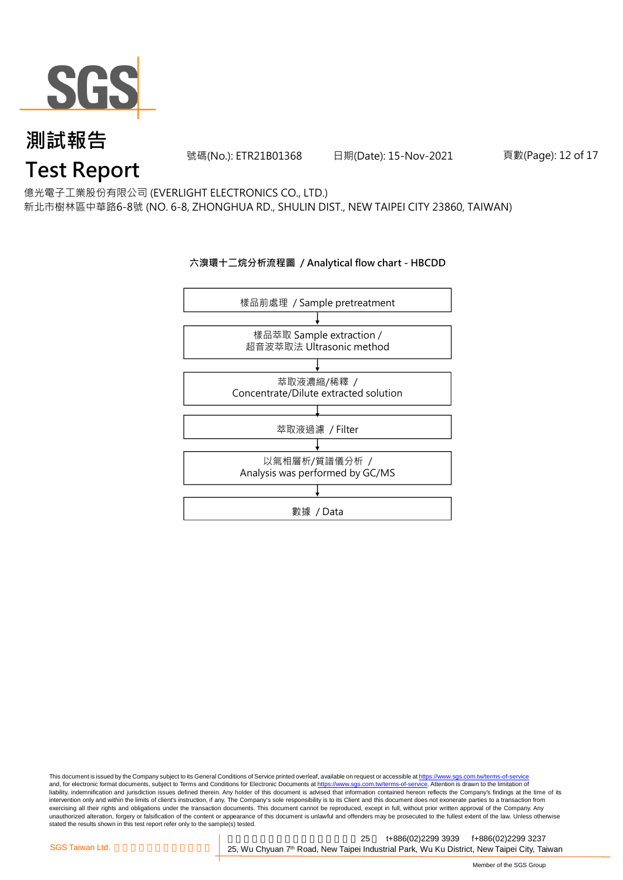

號碼(No.): ETR21B01368 日期(Date): 15-Nov-2021

#### 頁數(Page): 12 of 17

### **Test Report**

新北市樹林區中華路6-8號 (NO. 6-8, ZHONGHUA RD., SHULIN DIST., NEW TAIPEI CITY 23860, TAIWAN) 億光電子工業股份有限公司 (EVERLIGHT ELECTRONICS CO., LTD.)

#### **六溴環十二烷分析流程圖 / Analytical flow chart - HBCDD**



This document is issued by the Company subject to its General Conditions of Service printed overleaf, available on request or accessible at <u>https://www.sgs.com.tw/terms-of-service</u><br>and, for electronic format documents, su liability, indemnification and jurisdiction issues defined therein. Any holder of this document is advised that information contained hereon reflects the Company's findings at the time of its intervention only and within the limits of client's instruction, if any. The Company's sole responsibility is to its Client and this document does not exonerate parties to a transaction from exercising all their rights and obligations under the transaction documents. This document cannot be reproduced, except in full, without prior written approval of the Company. Any<br>unauthorized alteration, forgery or falsif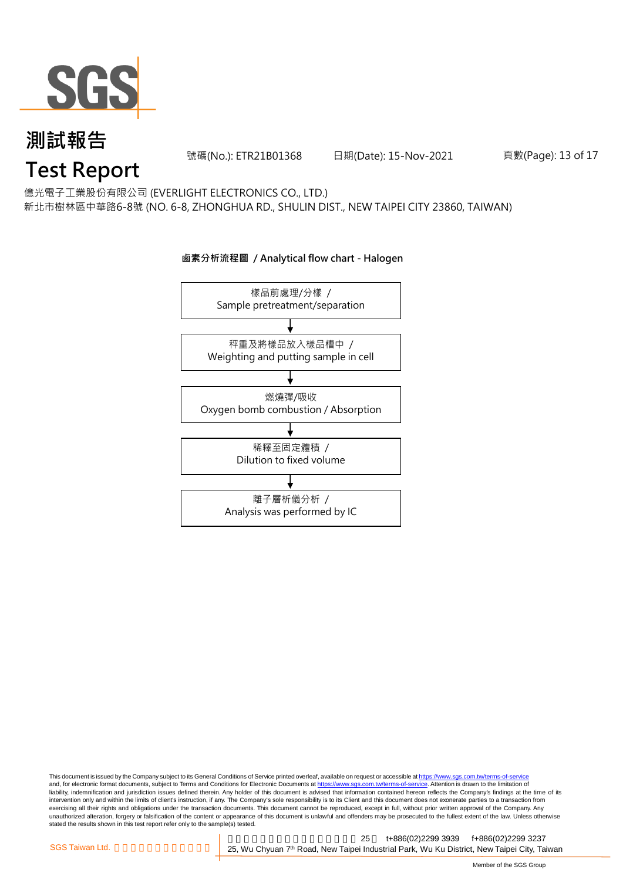

號碼(No.): ETR21B01368 日期(Date): 15-Nov-2021

頁數(Page): 13 of 17

億光電子工業股份有限公司 (EVERLIGHT ELECTRONICS CO., LTD.)

新北市樹林區中華路6-8號 (NO. 6-8, ZHONGHUA RD., SHULIN DIST., NEW TAIPEI CITY 23860, TAIWAN)



#### **鹵素分析流程圖 / Analytical flow chart - Halogen**

This document is issued by the Company subject to its General Conditions of Service printed overleaf, available on request or accessible at <u>https://www.sgs.com.tw/terms-of-service</u><br>and, for electronic format documents, su liability, indemnification and jurisdiction issues defined therein. Any holder of this document is advised that information contained hereon reflects the Company's findings at the time of its intervention only and within the limits of client's instruction, if any. The Company's sole responsibility is to its Client and this document does not exonerate parties to a transaction from exercising all their rights and obligations under the transaction documents. This document cannot be reproduced, except in full, without prior written approval of the Company. Any<br>unauthorized alteration, forgery or falsif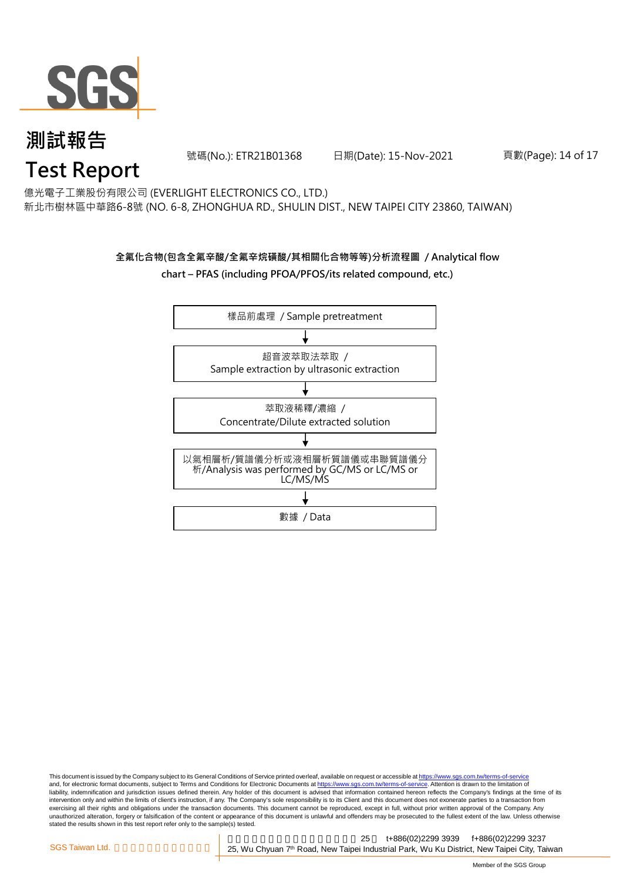

號碼(No.): ETR21B01368 日期(Date): 15-Nov-2021

頁數(Page): 14 of 17

### **Test Report**

新北市樹林區中華路6-8號 (NO. 6-8, ZHONGHUA RD., SHULIN DIST., NEW TAIPEI CITY 23860, TAIWAN) 億光電子工業股份有限公司 (EVERLIGHT ELECTRONICS CO., LTD.)

#### **全氟化合物(包含全氟辛酸/全氟辛烷磺酸/其相關化合物等等)分析流程圖 / Analytical flow chart – PFAS (including PFOA/PFOS/its related compound, etc.)**



This document is issued by the Company subject to its General Conditions of Service printed overleaf, available on request or accessible at https://www.sgs.com.tw/terms-of-service and, for electronic format documents, subject to Terms and Conditions for Electronic Documents at https://www.sgs.com.tw/terms-of-service. Attention is drawn to the limitation of liability, indemnification and jurisdiction issues defined therein. Any holder of this document is advised that information contained hereon reflects the Company's findings at the time of its intervention only and within the limits of client's instruction, if any. The Company's sole responsibility is to its Client and this document does not exonerate parties to a transaction from exercising all their rights and obligations under the transaction documents. This document cannot be reproduced, except in full, without prior written approval of the Company. Any<br>unauthorized alteration, forgery or falsif stated the results shown in this test report refer only to the sample(s) tested.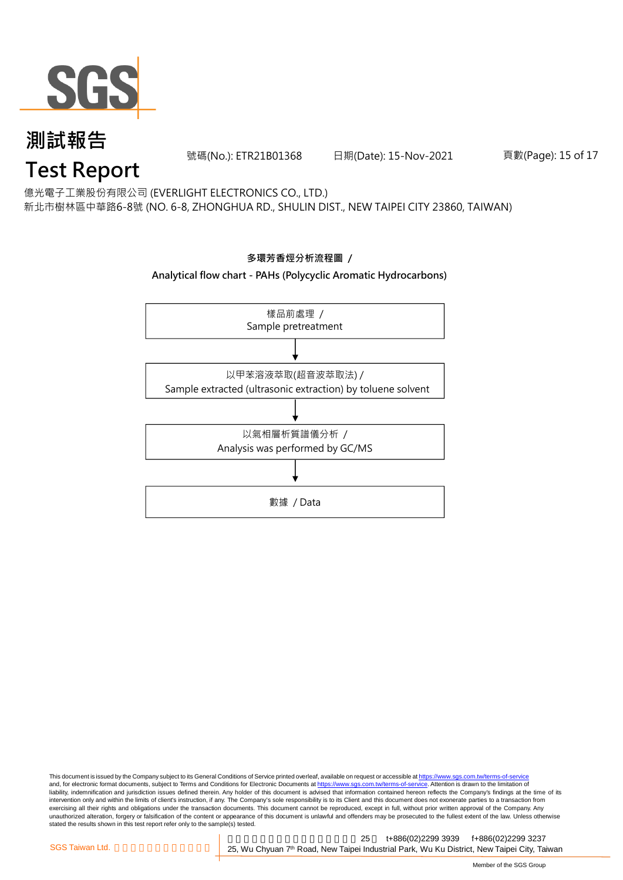

號碼(No.): ETR21B01368 日期(Date): 15-Nov-2021

頁數(Page): 15 of 17

億光電子工業股份有限公司 (EVERLIGHT ELECTRONICS CO., LTD.)

新北市樹林區中華路6-8號 (NO. 6-8, ZHONGHUA RD., SHULIN DIST., NEW TAIPEI CITY 23860, TAIWAN)



This document is issued by the Company subject to its General Conditions of Service printed overleaf, available on request or accessible at <u>https://www.sgs.com.tw/terms-of-service</u><br>and, for electronic format documents, su liability, indemnification and jurisdiction issues defined therein. Any holder of this document is advised that information contained hereon reflects the Company's findings at the time of its intervention only and within the limits of client's instruction, if any. The Company's sole responsibility is to its Client and this document does not exonerate parties to a transaction from exercising all their rights and obligations under the transaction documents. This document cannot be reproduced, except in full, without prior written approval of the Company. Any<br>unauthorized alteration, forgery or falsif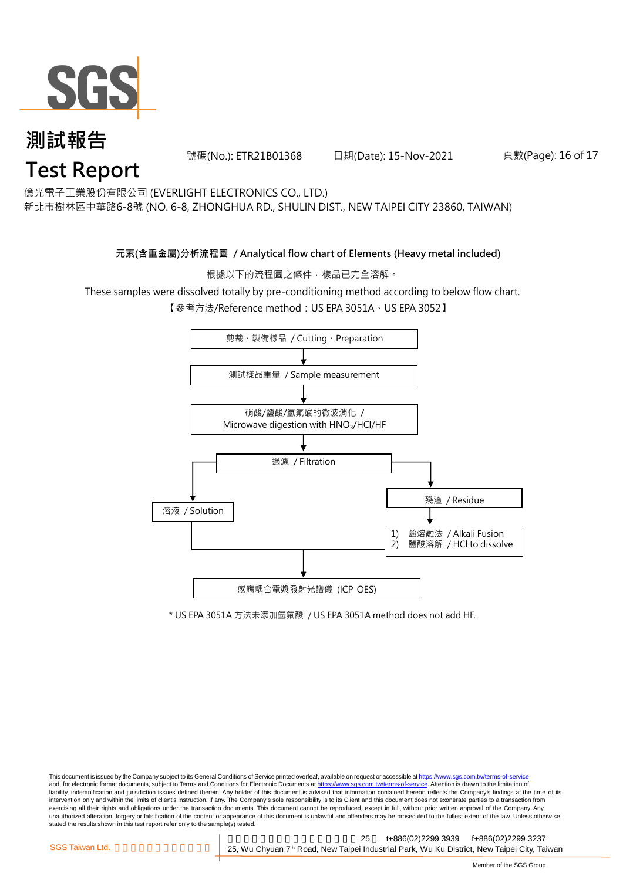

號碼(No.): ETR21B01368 日期(Date): 15-Nov-2021

#### 頁數(Page): 16 of 17

億光電子工業股份有限公司 (EVERLIGHT ELECTRONICS CO., LTD.)

新北市樹林區中華路6-8號 (NO. 6-8, ZHONGHUA RD., SHULIN DIST., NEW TAIPEI CITY 23860, TAIWAN)

#### **元素(含重金屬)分析流程圖 / Analytical flow chart of Elements (Heavy metal included)**

根據以下的流程圖之條件,樣品已完全溶解。

These samples were dissolved totally by pre-conditioning method according to below flow chart.

【參考方法/Reference method:US EPA 3051A、US EPA 3052】



\* US EPA 3051A 方法未添加氫氟酸 / US EPA 3051A method does not add HF.

This document is issued by the Company subject to its General Conditions of Service printed overleaf, available on request or accessible at https://www.sgs.com.tw/terms-of-service and, for electronic format documents, subject to Terms and Conditions for Electronic Documents at https://www.sgs.com.tw/terms-of-service. Attention is drawn to the limitation of liability, indemnification and jurisdiction issues defined therein. Any holder of this document is advised that information contained hereon reflects the Company's findings at the time of its intervention only and within the limits of client's instruction, if any. The Company's sole responsibility is to its Client and this document does not exonerate parties to a transaction from exercising all their rights and obligations under the transaction documents. This document cannot be reproduced, except in full, without prior written approval of the Company. Any<br>unauthorized alteration, forgery or falsif stated the results shown in this test report refer only to the sample(s) tested.